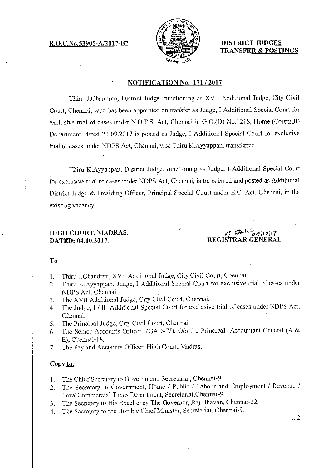R.O.C.No.53905-A/2017-B2  $\leftarrow$  DISTRICT JUDGES



TRANSFER & POSTINGS

## NOTIFICATION No. 171 / 2017

Thiru J.Chandran, District Judge, functioning as XVII Additional Judge, City Civil Court, Chennai, who has been appointed on transfer as Judge, I Additional Special Court for exclusive trial of cases under N.D.P.S. Act, Chennai in G.0.(D) No.1218, Home (Courts.II) Department, dated 23.09.2017 is posted as Judge, I Additional Special Court for exclusive trial of cases under NDPS Act, Chennai, vice Thiru K.Ayyappan, transferred.

Thiru K.Ayyappan, District Judge, functioning as Judge, I Additional Special Court for exclusive trial of cases under NDPS Act, Chennai, is transferred and posted as Additional District Judge & Presiding Officer, Principal Special Court under E.C. Act, Chennai, in the existing vacancy.

# HIGH COURT, MADRAS. DATED: 04.10.2017.

# به العالم العالم بعد العالم بعد العالم بعد التي يد العالم التي يد التي يد التي يد التي يد التي يد التي يد التي<br>REGISTRAR GENERAL

#### To

- 1. Thiru J.Chandran, XVII Additional Judge, City Civil Court, Chennai.
- 2. Thiru K.Ayyappan, Judge, I Additional Special Court for exclusive trial of cases under NDPS Act, Chennai.
- 3. The XVII Additional Judge, City Civil Court, Chennai.
- 4. The Judge, I / II Additional Special Court for exclusive trial of cases under NDPS Act, Chennai.
- 5. The Principal Judge, City Civil Court, Chennai.
- 6. The Senior Accounts Officer (GAD-IV), 0/o the Principal Accountant General (A & E), Chennai-18.
- 7. The Pay and Accounts Officer, High Court, Madras.

## Copy to:

- I. The Chief Secretary to Government, Secretariat, Chennai-9.
- 2. The Secretary to Government, Home / Public / Labour and Employment / Revenue / Law/ Commercial Taxes Department, Secretariat,Chennai-9.
- 3. The Secretary to His Excellency The Governor, Raj Bhavan, Chennai-22.
- 4. The Secretary to the Hon'ble Chief Minister, Secretariat, Chennai-9.

....2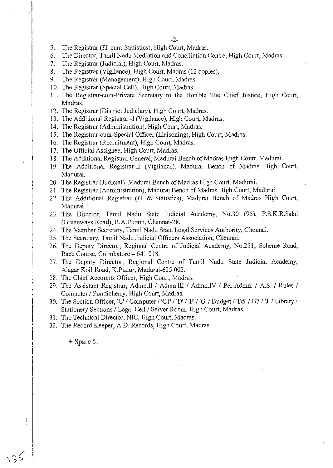- 5. The Registrar (IT-cum-Statistics), High Court, Madras.
- 6. The Director, Tamil Nadu Mediation and Conciliation Centre, High Court, Madras.
- 7. The Registrar (Judicial), High Court, Madras.
- 8. The Registrar (Vigilance), High Court, Madras (12 copies).
- 9. The Registrar (Management), High Court, Madras.
- 10. The Registrar (Special Cell), High Court, Madras.
- 11. The Registrar-cum-Private Secretary to the Hon'ble The Chief Justice, High Court, Madras.
- 12. The Registrar (District Judiciary), High Court, Madras.
- 13. The Additional Registrar -I (Vigilance), High Court, Madras.
- 14. The Registrar (Administration), High Court, Madras.
- 15. The Registrar-cum-Special Officer (Liaisoning), High Court, Madras.
- 16. The Registrar (Recruitment), High Court, Madras.
- 17. The Official Assignee, High Court, Madras.
- 18. The Additional Registrar General, Madurai Bench of Madras High Court, Madurai.
- 19. The Additional Registrar-II (Vigilance), Madurai Bench of Madras High Court, Madurai.
- 20. The Registrar (Judicial), Madurai Bench of Madras High Court, Madurai.
- 21. The Registrar (Administration), Madurai Bench of Madras High Court, Madurai.
- 22. The Additional Registrar (IT & Statistics), Madurai Bench of Madras High Court, Madurai.
- 23. The Director, Tamil Nadu State Judicial Academy, No.30 (95), P.S.K.R.Salai (Greenways Road), R.A.Puram, Chennai-28.
- 24. The Member Secretary, Tamil Nadu State Legal Services Authority, Chennai.
- 25. The Secretary, Tamil Nadu Judicial Officers Association, Chennai.
- 26. The Deputy Director, Regional Centre of Judicial Academy, No.251, Scheme Road, Race Course, Coimbatore - 641 018.
- 27. The Deputy Director, Regional Centre of Tamil Nadu State Judicial Academy, Alagar Koil Road, K.Pudur, Madurai-625 002.
- 28. The Chief Accounts Officer, High Court, Madras.
- 29. The Assistant Registrar, Admn.1I / Admn.III / Admn.IV / Per.Admn. / A.S. / Rules / Computer / Pondicherry, High Court, Madras.
- 30. The Section Officer, 'C' / Computer / 'C1' / 'D' / 'F' / 'G' / Budget / 'B5' / B7 / 'J' / Library / Stationery Sections / Legal Cell / Server Room, High Court, Madras.
- 31. The Technical Director, NIC, High Court, Madras.
- 32. The Record Keeper, A.D. Records, High Court, Madras.

+ Spare 5.

 $135$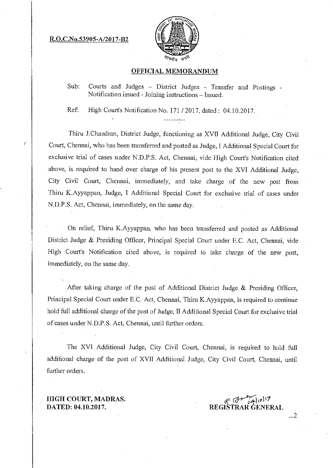R.O.C.No.53905-A/2017-B2

Ċ



## OFFICIAL MEMORANDUM

Sub: Courts and Judges - District Judges - Transfer and Postings -Notification issued - Joining instructions — Issued.

Ref: High Court's Notification No. 171 / 2017, dated: 04.10.2017.

Thiru J.Chandran, District Judge, functioning as XVII Additional Judge, City Civil Court, Chennai, who has been transferred and posted as Judge, I Additional Special Court for exclusive trial of cases under N.D.P.S. Act, Chennai, vide High Court's Notification cited above, is required to hand over charge of his present post to the XVI Additional Judge, City Civil Court, Chennai, immediately, and take charge of the new post from Thiru K.Ayyappan, Judge, I Additional Special Court for exclusive trial of cases under N.D.P.S. Act, Chennai, immediately, on the same day.

On relief, Thiru K.Ayyappan, who has been transferred and posted as Additional District Judge & Presiding Officer, Principal Special Court under E.C. Act, Chennai, vide High Court's Notification cited above, is required to take charge of the new post, immediately, on the same day.

After taking charge of the post of Additional District Judge & Presiding Officer, Principal Special Court under E.C. Act, Chennai, Thiru K.Ayyappan, is required to continue hold full additional charge of the post of Judge, II Additional Special Court for exclusive trial of cases under N.D.P.S. Act, Chennai, until further orders.

The XVI Additional Judge, City Civil Court, Chennai, is required to hold full additional charge of the post of XVII Additional Judge, City Civil Court, Chennai, until further orders.

HIGH COURT, MADRAS. DATED: 04.10.2017.

 $8.5 + \frac{11}{64}$ 10/17 REGISTRAR GENERAL

...2